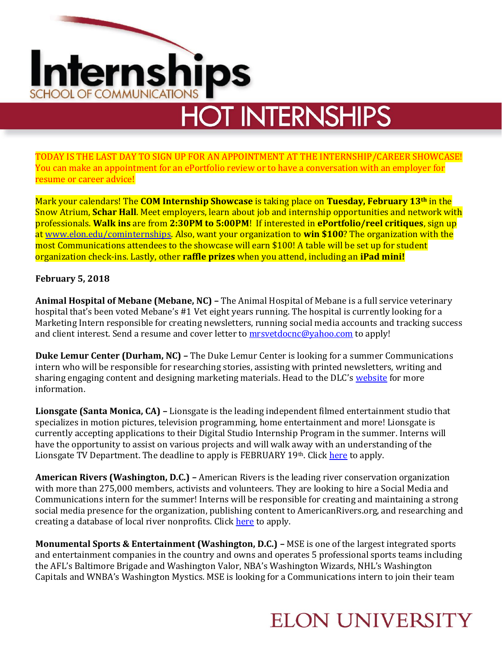# Internships SCHOOL OF COMMUNICATIONS

## **HOT INTERNSHIPS**

TODAY IS THE LAST DAY TO SIGN UP FOR AN APPOINTMENT AT THE INTERNSHIP/CAREER SHOWCASE! You can make an appointment for an ePortfolio review or to have a conversation with an employer for resume or career advice!

Mark your calendars! The **COM Internship Showcase** is taking place on **Tuesday, February 13th** in the Snow Atrium, **Schar Hall**. Meet employers, learn about job and internship opportunities and network with professionals. **Walk ins** are from **2:30PM to 5:00PM**! If interested in **ePortfolio/reel critiques**, sign up at [www.elon.edu/cominternships.](http://www.elon.edu/cominternships) Also, want your organization to **win \$100**? The organization with the most Communications attendees to the showcase will earn \$100! A table will be set up for student organization check-ins. Lastly, other **raffle prizes** when you attend, including an **iPad mini!**

#### **February 5, 2018**

**Animal Hospital of Mebane (Mebane, NC) –** The Animal Hospital of Mebane is a full service veterinary hospital that's been voted Mebane's #1 Vet eight years running. The hospital is currently looking for a Marketing Intern responsible for creating newsletters, running social media accounts and tracking success and client interest. Send a resume and cover letter to **mrsvetdocnc@yahoo.com** to apply!

**Duke Lemur Center (Durham, NC) –** The Duke Lemur Center is looking for a summer Communications intern who will be responsible for researching stories, assisting with printed newsletters, writing and sharing engaging content and designing marketing materials. Head to the DLC's [website](http://lemur.duke.edu/engage/internships/) for more information.

**Lionsgate (Santa Monica, CA) –** Lionsgate is the leading independent filmed entertainment studio that specializes in motion pictures, television programming, home entertainment and more! Lionsgate is currently accepting applications to their Digital Studio Internship Program in the summer. Interns will have the opportunity to assist on various projects and will walk away with an understanding of the Lionsgate TV Department. The deadline to apply is FEBRUARY 19th. Clic[k here](https://www.indeed.com/viewjob?jk=211845e4368d3862&qd=VaUnPB-LMmsGtMbo7BR2pYSpa3TRL4drB-X27FTTkrtRTKSOTINPZq898tco27Up1m_PoxxEgWO_xstKwYe7mPWQTuhHBth_Hmd4bdPs5WGDBfhE8IgzO_q_LQgY-_NZ&atk=1c58kt92ea3d68uu&utm_source=publisher&utm_medium=organic_lis) to apply.

**American Rivers (Washington, D.C.) –** American Rivers is the leading river conservation organization with more than 275,000 members, activists and volunteers. They are looking to hire a Social Media and Communications intern for the summer! Interns will be responsible for creating and maintaining a strong social media presence for the organization, publishing content to AmericanRivers.org, and researching and creating a database of local river nonprofits. Click [here](https://www.americanrivers.org/about-us/careers/social-media-communications-intern-summer-2018/) to apply.

**Monumental Sports & Entertainment (Washington, D.C.) –** MSE is one of the largest integrated sports and entertainment companies in the country and owns and operates 5 professional sports teams including the AFL's Baltimore Brigade and Washington Valor, NBA's Washington Wizards, NHL's Washington Capitals and WNBA's Washington Mystics. MSE is looking for a Communications intern to join their team

#### **ELON UNIVERSITY**